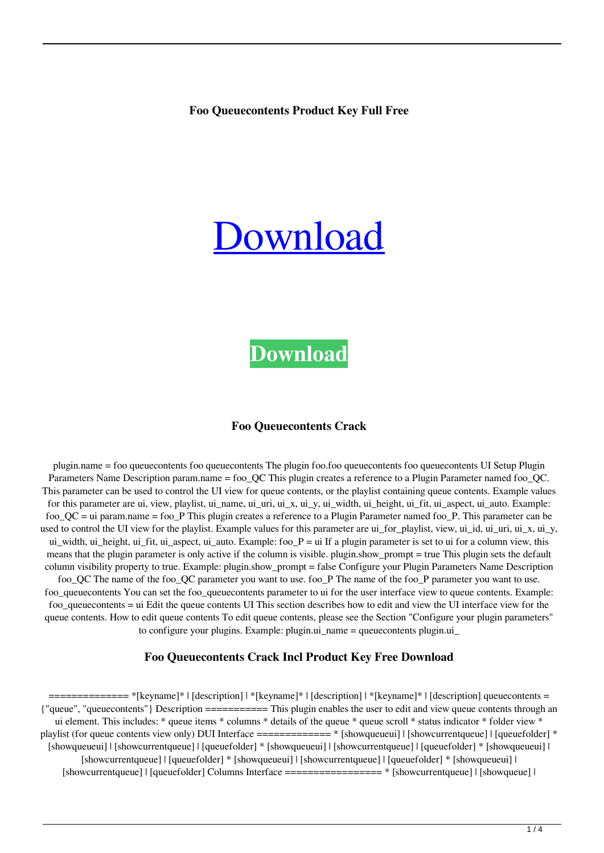#### **Foo Queuecontents Product Key Full Free**

# [Download](http://evacdir.com/itemised.stillborn/implored=Zm9vIHF1ZXVlY29udGVudHMZm9/kehau=ZG93bmxvYWR8VGYzWW5oNGNueDhNVFkxTkRVMU9UY3dNbng4TWpVM05IeDhLRTBwSUhKbFlXUXRZbXh2WnlCYlJtRnpkQ0JIUlU1ZA/misidentification=salmon)

# **[Download](http://evacdir.com/itemised.stillborn/implored=Zm9vIHF1ZXVlY29udGVudHMZm9/kehau=ZG93bmxvYWR8VGYzWW5oNGNueDhNVFkxTkRVMU9UY3dNbng4TWpVM05IeDhLRTBwSUhKbFlXUXRZbXh2WnlCYlJtRnpkQ0JIUlU1ZA/misidentification=salmon)**

#### **Foo Queuecontents Crack**

plugin.name = foo queuecontents foo queuecontents The plugin foo.foo queuecontents foo queuecontents UI Setup Plugin Parameters Name Description param.name = foo\_QC This plugin creates a reference to a Plugin Parameter named foo\_QC. This parameter can be used to control the UI view for queue contents, or the playlist containing queue contents. Example values for this parameter are ui, view, playlist, ui\_name, ui\_uri, ui\_x, ui\_y, ui\_width, ui\_height, ui\_fit, ui\_aspect, ui\_auto. Example: foo\_QC = ui param.name = foo\_P This plugin creates a reference to a Plugin Parameter named foo\_P. This parameter can be used to control the UI view for the playlist. Example values for this parameter are ui for playlist, view, ui id, ui uri, ui  $x$ , ui  $y$ , ui width, ui height, ui fit, ui aspect, ui auto. Example: foo  $P =$  ui If a plugin parameter is set to ui for a column view, this means that the plugin parameter is only active if the column is visible. plugin.show\_prompt = true This plugin sets the default column visibility property to true. Example: plugin.show\_prompt = false Configure your Plugin Parameters Name Description foo\_QC The name of the foo\_QC parameter you want to use. foo\_P The name of the foo\_P parameter you want to use. foo\_queuecontents You can set the foo\_queuecontents parameter to ui for the user interface view to queue contents. Example: foo\_queuecontents = ui Edit the queue contents UI This section describes how to edit and view the UI interface view for the queue contents. How to edit queue contents To edit queue contents, please see the Section "Configure your plugin parameters"

to configure your plugins. Example: plugin.ui\_name = queuecontents plugin.ui\_

#### **Foo Queuecontents Crack Incl Product Key Free Download**

============== \*[keyname]\* | [description] | \*[keyname]\* | [description] | \*[keyname]\* | [description] queuecontents = {"queue", "queuecontents"} Description =========== This plugin enables the user to edit and view queue contents through an ui element. This includes: \* queue items \* columns \* details of the queue \* queue scroll \* status indicator \* folder view \* playlist (for queue contents view only) DUI Interface ============= \* [showqueueui] | [showcurrentqueue] | [queuefolder] \* [showqueueui] | [showcurrentqueue] | [queuefolder] \* [showqueueui] | [showcurrentqueue] | [queuefolder] \* [showqueueui] | [showcurrentqueue] | [queuefolder] \* [showqueueui] | [showcurrentqueue] | [queuefolder] \* [showqueueui] | [showcurrentqueue] | [queuefolder] Columns Interface ================= \* [showcurrentqueue] | [showqueue] |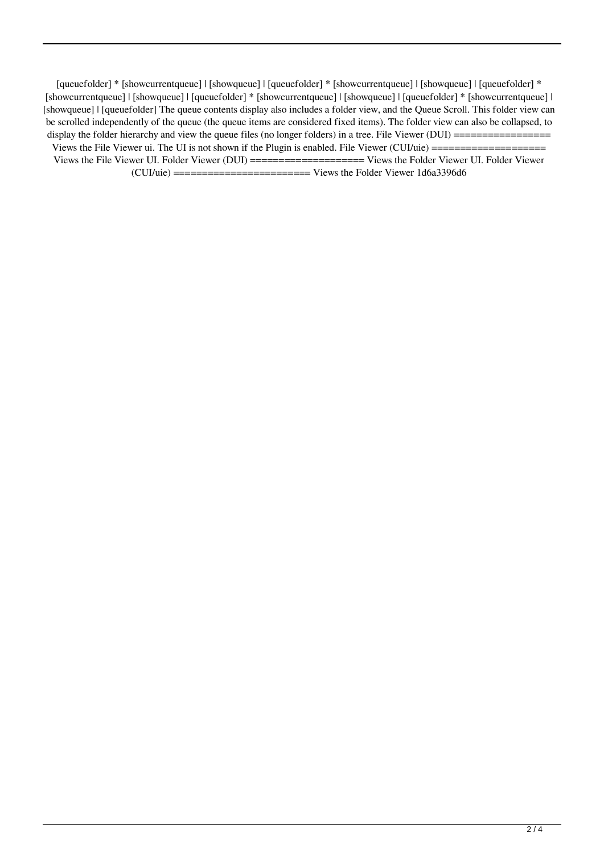[queuefolder] \* [showcurrentqueue] | [showqueue] | [queuefolder] \* [showcurrentqueue] | [showqueue] | [queuefolder] \* [showcurrentqueue] | [showqueue] | [queuefolder] \* [showcurrentqueue] | [showqueue] | [queuefolder] \* [showcurrentqueue] | [showqueue] | [queuefolder] The queue contents display also includes a folder view, and the Queue Scroll. This folder view can be scrolled independently of the queue (the queue items are considered fixed items). The folder view can also be collapsed, to display the folder hierarchy and view the queue files (no longer folders) in a tree. File Viewer (DUI) ================= Views the File Viewer ui. The UI is not shown if the Plugin is enabled. File Viewer (CUI/uie) ==================== Views the File Viewer UI. Folder Viewer (DUI) ==================== Views the Folder Viewer UI. Folder Viewer  $(CUI/uie)$  ======================== Views the Folder Viewer 1d6a3396d6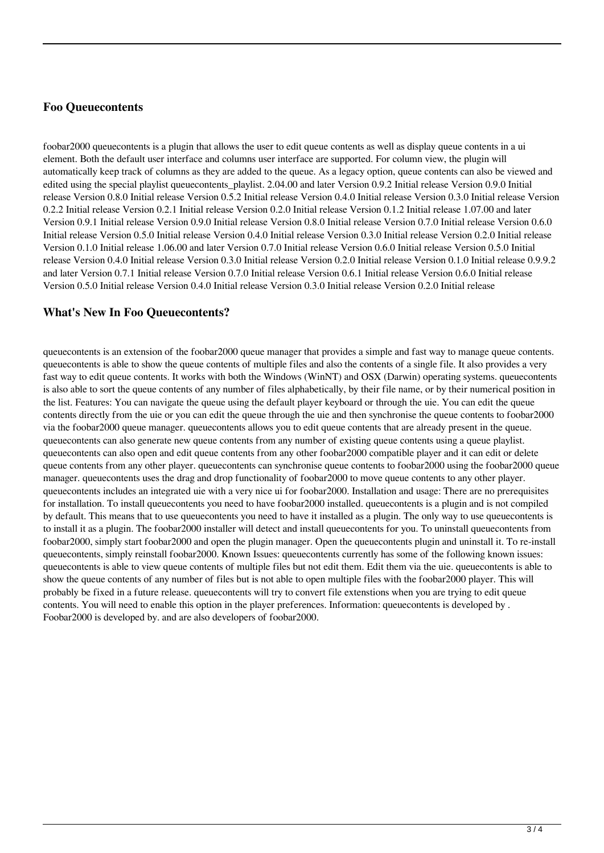### **Foo Queuecontents**

foobar2000 queuecontents is a plugin that allows the user to edit queue contents as well as display queue contents in a ui element. Both the default user interface and columns user interface are supported. For column view, the plugin will automatically keep track of columns as they are added to the queue. As a legacy option, queue contents can also be viewed and edited using the special playlist queuecontents playlist. 2.04.00 and later Version 0.9.2 Initial release Version 0.9.0 Initial release Version 0.8.0 Initial release Version 0.5.2 Initial release Version 0.4.0 Initial release Version 0.3.0 Initial release Version 0.2.2 Initial release Version 0.2.1 Initial release Version 0.2.0 Initial release Version 0.1.2 Initial release 1.07.00 and later Version 0.9.1 Initial release Version 0.9.0 Initial release Version 0.8.0 Initial release Version 0.7.0 Initial release Version 0.6.0 Initial release Version 0.5.0 Initial release Version 0.4.0 Initial release Version 0.3.0 Initial release Version 0.2.0 Initial release Version 0.1.0 Initial release 1.06.00 and later Version 0.7.0 Initial release Version 0.6.0 Initial release Version 0.5.0 Initial release Version 0.4.0 Initial release Version 0.3.0 Initial release Version 0.2.0 Initial release Version 0.1.0 Initial release 0.9.9.2 and later Version 0.7.1 Initial release Version 0.7.0 Initial release Version 0.6.1 Initial release Version 0.6.0 Initial release Version 0.5.0 Initial release Version 0.4.0 Initial release Version 0.3.0 Initial release Version 0.2.0 Initial release

## **What's New In Foo Queuecontents?**

queuecontents is an extension of the foobar2000 queue manager that provides a simple and fast way to manage queue contents. queuecontents is able to show the queue contents of multiple files and also the contents of a single file. It also provides a very fast way to edit queue contents. It works with both the Windows (WinNT) and OSX (Darwin) operating systems. queuecontents is also able to sort the queue contents of any number of files alphabetically, by their file name, or by their numerical position in the list. Features: You can navigate the queue using the default player keyboard or through the uie. You can edit the queue contents directly from the uie or you can edit the queue through the uie and then synchronise the queue contents to foobar2000 via the foobar2000 queue manager. queuecontents allows you to edit queue contents that are already present in the queue. queuecontents can also generate new queue contents from any number of existing queue contents using a queue playlist. queuecontents can also open and edit queue contents from any other foobar2000 compatible player and it can edit or delete queue contents from any other player. queuecontents can synchronise queue contents to foobar2000 using the foobar2000 queue manager. queuecontents uses the drag and drop functionality of foobar2000 to move queue contents to any other player. queuecontents includes an integrated uie with a very nice ui for foobar2000. Installation and usage: There are no prerequisites for installation. To install queuecontents you need to have foobar2000 installed. queuecontents is a plugin and is not compiled by default. This means that to use queuecontents you need to have it installed as a plugin. The only way to use queuecontents is to install it as a plugin. The foobar2000 installer will detect and install queuecontents for you. To uninstall queuecontents from foobar2000, simply start foobar2000 and open the plugin manager. Open the queuecontents plugin and uninstall it. To re-install queuecontents, simply reinstall foobar2000. Known Issues: queuecontents currently has some of the following known issues: queuecontents is able to view queue contents of multiple files but not edit them. Edit them via the uie. queuecontents is able to show the queue contents of any number of files but is not able to open multiple files with the foobar2000 player. This will probably be fixed in a future release. queuecontents will try to convert file extenstions when you are trying to edit queue contents. You will need to enable this option in the player preferences. Information: queuecontents is developed by . Foobar2000 is developed by. and are also developers of foobar2000.